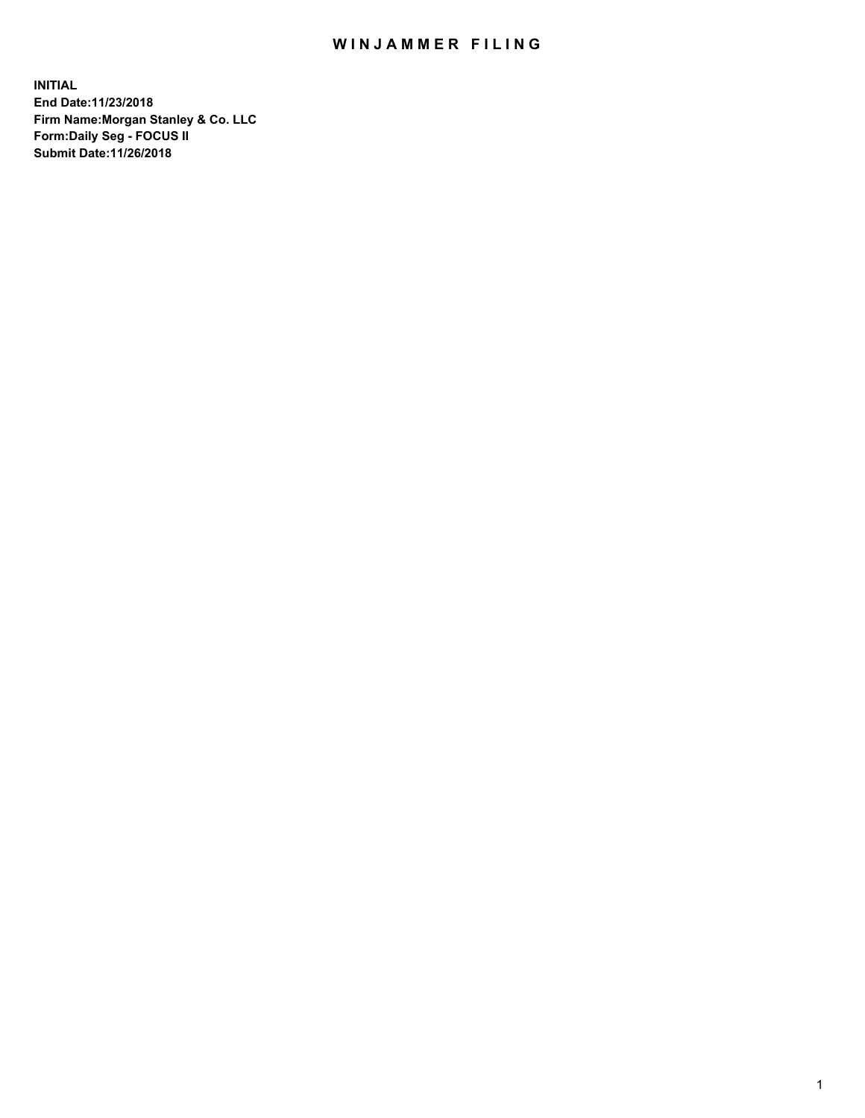## WIN JAMMER FILING

**INITIAL End Date:11/23/2018 Firm Name:Morgan Stanley & Co. LLC Form:Daily Seg - FOCUS II Submit Date:11/26/2018**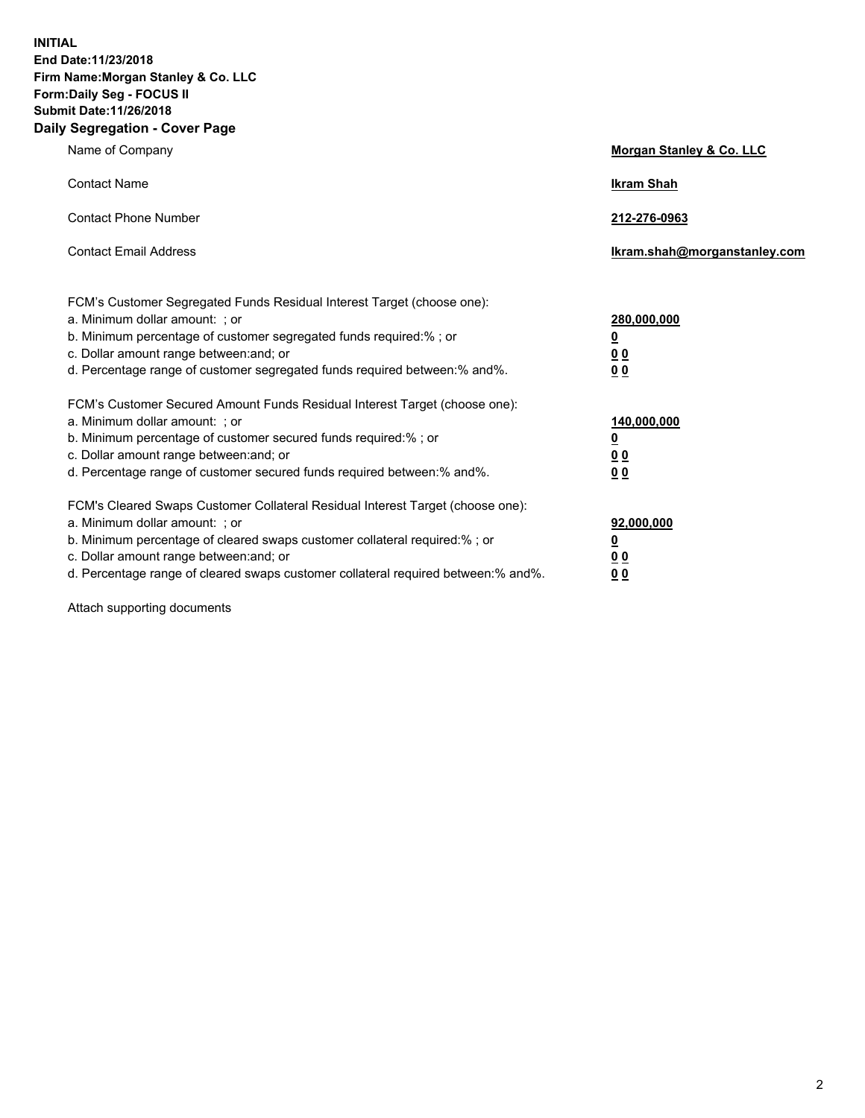**INITIAL End Date:11/23/2018 Firm Name:Morgan Stanley & Co. LLC Form:Daily Seg - FOCUS II Submit Date:11/26/2018 Daily Segregation - Cover Page**

| Name of Company                                                                                                                                                                                                                                                                                                                | Morgan Stanley & Co. LLC                                    |
|--------------------------------------------------------------------------------------------------------------------------------------------------------------------------------------------------------------------------------------------------------------------------------------------------------------------------------|-------------------------------------------------------------|
| <b>Contact Name</b>                                                                                                                                                                                                                                                                                                            | <b>Ikram Shah</b>                                           |
| <b>Contact Phone Number</b>                                                                                                                                                                                                                                                                                                    | 212-276-0963                                                |
| <b>Contact Email Address</b>                                                                                                                                                                                                                                                                                                   | Ikram.shah@morganstanley.com                                |
| FCM's Customer Segregated Funds Residual Interest Target (choose one):<br>a. Minimum dollar amount: ; or<br>b. Minimum percentage of customer segregated funds required:% ; or<br>c. Dollar amount range between: and; or<br>d. Percentage range of customer segregated funds required between:% and%.                         | 280,000,000<br><u>0</u><br>0 <sub>0</sub><br>00             |
| FCM's Customer Secured Amount Funds Residual Interest Target (choose one):<br>a. Minimum dollar amount: ; or<br>b. Minimum percentage of customer secured funds required:% ; or<br>c. Dollar amount range between: and; or<br>d. Percentage range of customer secured funds required between: % and %.                         | 140,000,000<br><u>0</u><br>0 <sub>0</sub><br>0 <sub>0</sub> |
| FCM's Cleared Swaps Customer Collateral Residual Interest Target (choose one):<br>a. Minimum dollar amount: ; or<br>b. Minimum percentage of cleared swaps customer collateral required:% ; or<br>c. Dollar amount range between: and; or<br>d. Percentage range of cleared swaps customer collateral required between:% and%. | 92,000,000<br><u>0</u><br>00<br>0 <sub>0</sub>              |

Attach supporting documents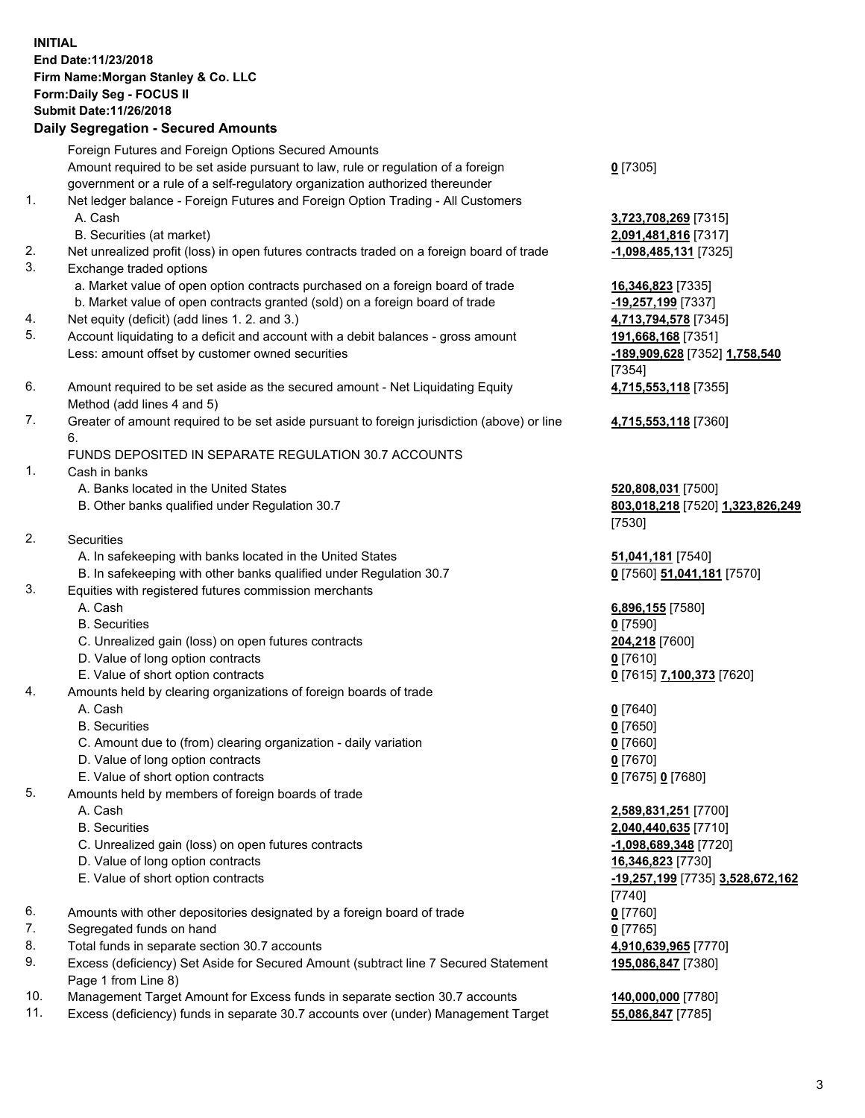## **INITIAL End Date:11/23/2018 Firm Name:Morgan Stanley & Co. LLC Form:Daily Seg - FOCUS II Submit Date:11/26/2018**

**Daily Segregation - Secured Amounts** Foreign Futures and Foreign Options Secured Amounts Amount required to be set aside pursuant to law, rule or regulation of a foreign government or a rule of a self-regulatory organization authorized thereunder 1. Net ledger balance - Foreign Futures and Foreign Option Trading - All Customers A. Cash **3,723,708,269** [7315] B. Securities (at market) **2,091,481,816** [7317] 2. Net unrealized profit (loss) in open futures contracts traded on a foreign board of trade **-1,098,485,131** [7325] 3. Exchange traded options a. Market value of open option contracts purchased on a foreign board of trade **16,346,823** [7335] b. Market value of open contracts granted (sold) on a foreign board of trade **-19,257,199** [7337] 4. Net equity (deficit) (add lines 1. 2. and 3.) **4,713,794,578** [7345] 5. Account liquidating to a deficit and account with a debit balances - gross amount **191,668,168** [7351] Less: amount offset by customer owned securities **-189,909,628** [7352] **1,758,540** 6. Amount required to be set aside as the secured amount - Net Liquidating Equity Method (add lines 4 and 5) 7. Greater of amount required to be set aside pursuant to foreign jurisdiction (above) or line 6. FUNDS DEPOSITED IN SEPARATE REGULATION 30.7 ACCOUNTS 1. Cash in banks A. Banks located in the United States **520,808,031** [7500] B. Other banks qualified under Regulation 30.7 **803,018,218** [7520] **1,323,826,249** 2. Securities A. In safekeeping with banks located in the United States **51,041,181** [7540] B. In safekeeping with other banks qualified under Regulation 30.7 **0** [7560] **51,041,181** [7570] 3. Equities with registered futures commission merchants A. Cash **6,896,155** [7580] B. Securities **0** [7590] C. Unrealized gain (loss) on open futures contracts **204,218** [7600] D. Value of long option contracts **0** [7610] E. Value of short option contracts **0** [7615] **7,100,373** [7620] 4. Amounts held by clearing organizations of foreign boards of trade A. Cash **0** [7640] B. Securities **0** [7650] C. Amount due to (from) clearing organization - daily variation **0** [7660] D. Value of long option contracts **0** [7670] E. Value of short option contracts **0** [7675] **0** [7680]

- 5. Amounts held by members of foreign boards of trade
	-
	-
	- C. Unrealized gain (loss) on open futures contracts **-1,098,689,348** [7720]
	- D. Value of long option contracts **16,346,823** [7730]
	-
- 6. Amounts with other depositories designated by a foreign board of trade **0** [7760]
- 7. Segregated funds on hand **0** [7765]
- 8. Total funds in separate section 30.7 accounts **4,910,639,965** [7770]
- 9. Excess (deficiency) Set Aside for Secured Amount (subtract line 7 Secured Statement Page 1 from Line 8)
- 10. Management Target Amount for Excess funds in separate section 30.7 accounts **140,000,000** [7780]
- 11. Excess (deficiency) funds in separate 30.7 accounts over (under) Management Target **55,086,847** [7785]

**0** [7305]

[7354] **4,715,553,118** [7355]

**4,715,553,118** [7360]

[7530]

 A. Cash **2,589,831,251** [7700] B. Securities **2,040,440,635** [7710] E. Value of short option contracts **-19,257,199** [7735] **3,528,672,162** [7740] **195,086,847** [7380]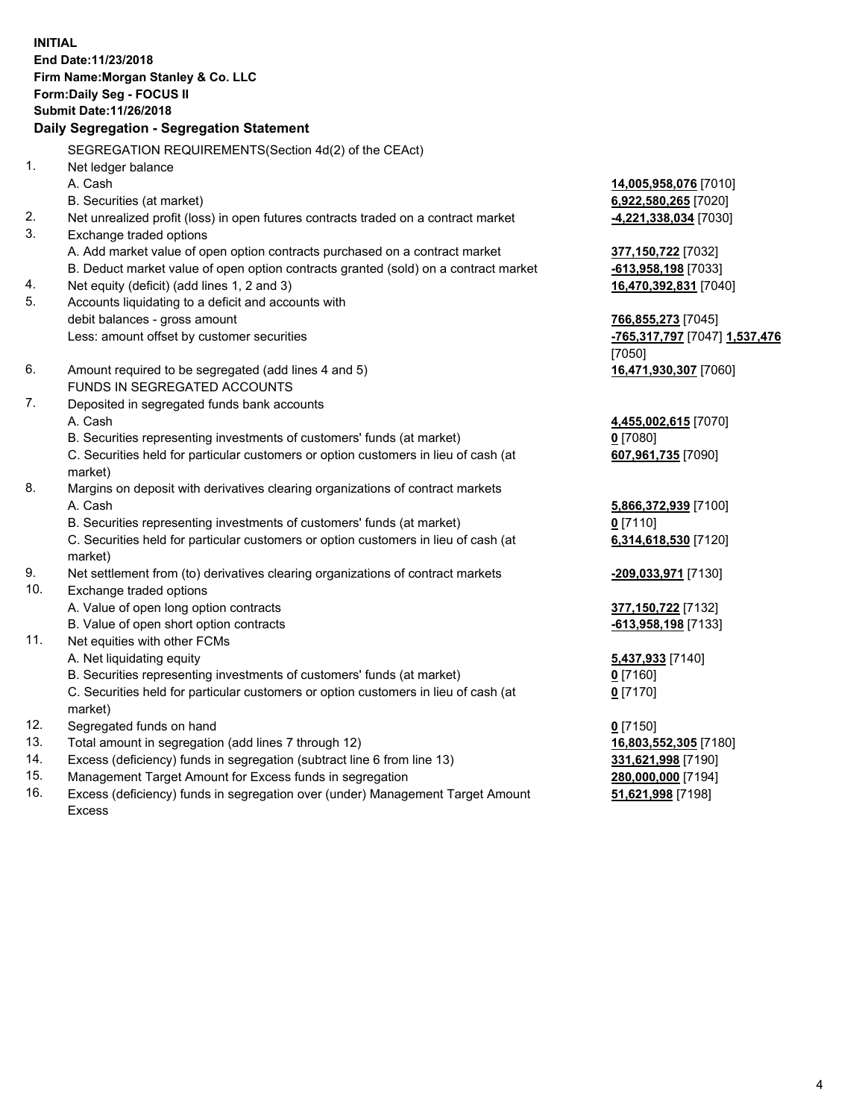**INITIAL End Date:11/23/2018 Firm Name:Morgan Stanley & Co. LLC Form:Daily Seg - FOCUS II Submit Date:11/26/2018 Daily Segregation - Segregation Statement** SEGREGATION REQUIREMENTS(Section 4d(2) of the CEAct) 1. Net ledger balance A. Cash **14,005,958,076** [7010] B. Securities (at market) **6,922,580,265** [7020] 2. Net unrealized profit (loss) in open futures contracts traded on a contract market **-4,221,338,034** [7030] 3. Exchange traded options A. Add market value of open option contracts purchased on a contract market **377,150,722** [7032] B. Deduct market value of open option contracts granted (sold) on a contract market **-613,958,198** [7033] 4. Net equity (deficit) (add lines 1, 2 and 3) **16,470,392,831** [7040] 5. Accounts liquidating to a deficit and accounts with debit balances - gross amount **766,855,273** [7045] Less: amount offset by customer securities **-765,317,797** [7047] **1,537,476** [7050] 6. Amount required to be segregated (add lines 4 and 5) **16,471,930,307** [7060] FUNDS IN SEGREGATED ACCOUNTS 7. Deposited in segregated funds bank accounts A. Cash **4,455,002,615** [7070] B. Securities representing investments of customers' funds (at market) **0** [7080] C. Securities held for particular customers or option customers in lieu of cash (at market) **607,961,735** [7090] 8. Margins on deposit with derivatives clearing organizations of contract markets A. Cash **5,866,372,939** [7100] B. Securities representing investments of customers' funds (at market) **0** [7110] C. Securities held for particular customers or option customers in lieu of cash (at market) **6,314,618,530** [7120] 9. Net settlement from (to) derivatives clearing organizations of contract markets **-209,033,971** [7130] 10. Exchange traded options A. Value of open long option contracts **377,150,722** [7132] B. Value of open short option contracts **and the set of our of the set of our of the set of our of the set of the set of the set of the set of the set of the set of the set of the set of the set of the set of the set of th** 11. Net equities with other FCMs A. Net liquidating equity **5,437,933** [7140] B. Securities representing investments of customers' funds (at market) **0** [7160] C. Securities held for particular customers or option customers in lieu of cash (at market) **0** [7170] 12. Segregated funds on hand **0** [7150] 13. Total amount in segregation (add lines 7 through 12) **16,803,552,305** [7180] 14. Excess (deficiency) funds in segregation (subtract line 6 from line 13) **331,621,998** [7190]

- 15. Management Target Amount for Excess funds in segregation **280,000,000** [7194]
- 16. Excess (deficiency) funds in segregation over (under) Management Target Amount Excess

**51,621,998** [7198]